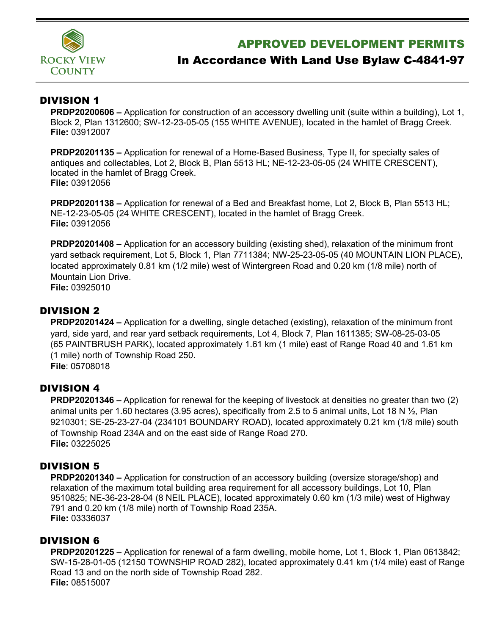

## APPROVED DEVELOPMENT PERMITS

# In Accordance With Land Use Bylaw C-4841-97

### DIVISION 1

**PRDP20200606 –** Application for construction of an accessory dwelling unit (suite within a building), Lot 1, Block 2, Plan 1312600; SW-12-23-05-05 (155 WHITE AVENUE), located in the hamlet of Bragg Creek. **File:** 03912007

**PRDP20201135 –** Application for renewal of a Home-Based Business, Type II, for specialty sales of antiques and collectables, Lot 2, Block B, Plan 5513 HL; NE-12-23-05-05 (24 WHITE CRESCENT), located in the hamlet of Bragg Creek. **File:** 03912056

**PRDP20201138 –** Application for renewal of a Bed and Breakfast home, Lot 2, Block B, Plan 5513 HL; NE-12-23-05-05 (24 WHITE CRESCENT), located in the hamlet of Bragg Creek. **File:** 03912056

**PRDP20201408 –** Application for an accessory building (existing shed), relaxation of the minimum front yard setback requirement, Lot 5, Block 1, Plan 7711384; NW-25-23-05-05 (40 MOUNTAIN LION PLACE), located approximately 0.81 km (1/2 mile) west of Wintergreen Road and 0.20 km (1/8 mile) north of Mountain Lion Drive. **File:** 03925010

DIVISION 2

**PRDP20201424 –** Application for a dwelling, single detached (existing), relaxation of the minimum front yard, side yard, and rear yard setback requirements, Lot 4, Block 7, Plan 1611385; SW-08-25-03-05 (65 PAINTBRUSH PARK), located approximately 1.61 km (1 mile) east of Range Road 40 and 1.61 km (1 mile) north of Township Road 250. **File**: 05708018

### DIVISION 4

**PRDP20201346 –** Application for renewal for the keeping of livestock at densities no greater than two (2) animal units per 1.60 hectares (3.95 acres), specifically from 2.5 to 5 animal units, Lot 18 N ½, Plan 9210301; SE-25-23-27-04 (234101 BOUNDARY ROAD), located approximately 0.21 km (1/8 mile) south of Township Road 234A and on the east side of Range Road 270. **File:** 03225025

### DIVISION 5

**PRDP20201340 –** Application for construction of an accessory building (oversize storage/shop) and relaxation of the maximum total building area requirement for all accessory buildings, Lot 10, Plan 9510825; NE-36-23-28-04 (8 NEIL PLACE), located approximately 0.60 km (1/3 mile) west of Highway 791 and 0.20 km (1/8 mile) north of Township Road 235A. **File:** 03336037

### DIVISION 6

**PRDP20201225 –** Application for renewal of a farm dwelling, mobile home, Lot 1, Block 1, Plan 0613842; SW-15-28-01-05 (12150 TOWNSHIP ROAD 282), located approximately 0.41 km (1/4 mile) east of Range Road 13 and on the north side of Township Road 282. **File:** 08515007